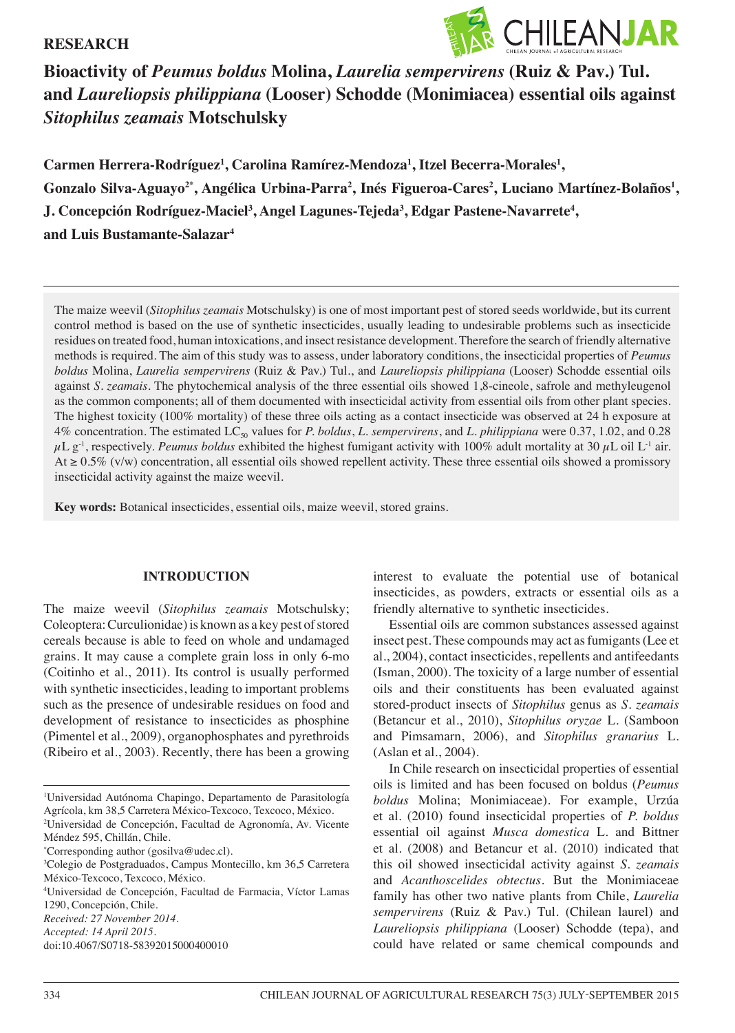## **RESEARCH**



# **Bioactivity of** *Peumus boldus* **Molina,** *Laurelia sempervirens* **(Ruiz & Pav.) Tul. and** *Laureliopsis philippiana* **(Looser) Schodde (Monimiacea) essential oils against**  *Sitophilus zeamais* **Motschulsky**

**Carmen Herrera-Rodríguez1 , Carolina Ramírez-Mendoza1 , Itzel Becerra-Morales1 ,**   $\bf{G}$ onzalo Silva-Aguayo $^{2*}$ , Angélica Urbina-Parra<sup>2</sup>, Inés Figueroa-Cares<sup>2</sup>, Luciano Martínez-Bolaños<sup>1</sup>, **J.** Concepción Rodríguez-Maciel<sup>3</sup>, Angel Lagunes-Tejeda<sup>3</sup>, Edgar Pastene-Navarrete<sup>4</sup>, **and Luis Bustamante-Salazar4**

The maize weevil (*Sitophilus zeamais* Motschulsky) is one of most important pest of stored seeds worldwide, but its current control method is based on the use of synthetic insecticides, usually leading to undesirable problems such as insecticide residues on treated food, human intoxications, and insect resistance development. Therefore the search of friendly alternative methods is required. The aim of this study was to assess, under laboratory conditions, the insecticidal properties of *Peumus boldus* Molina, *Laurelia sempervirens* (Ruiz & Pav.) Tul., and *Laureliopsis philippiana* (Looser) Schodde essential oils against *S. zeamais*. The phytochemical analysis of the three essential oils showed 1,8-cineole, safrole and methyleugenol as the common components; all of them documented with insecticidal activity from essential oils from other plant species. The highest toxicity (100% mortality) of these three oils acting as a contact insecticide was observed at 24 h exposure at 4% concentration. The estimated LC<sub>50</sub> values for *P. boldus*, *L. sempervirens*, and *L. philippiana* were 0.37, 1.02, and 0.28  $\mu L$  g<sup>-1</sup>, respectively. *Peumus boldus* exhibited the highest fumigant activity with 100% adult mortality at 30  $\mu$ L oil L<sup>-1</sup> air. At ≥ 0.5% (v/w) concentration, all essential oils showed repellent activity. These three essential oils showed a promissory insecticidal activity against the maize weevil.

**Key words:** Botanical insecticides, essential oils, maize weevil, stored grains.

#### **INTRODUCTION**

The maize weevil (*Sitophilus zeamais* Motschulsky; Coleoptera: Curculionidae) is known as a key pest of stored cereals because is able to feed on whole and undamaged grains. It may cause a complete grain loss in only 6-mo (Coitinho et al., 2011). Its control is usually performed with synthetic insecticides, leading to important problems such as the presence of undesirable residues on food and development of resistance to insecticides as phosphine (Pimentel et al., 2009), organophosphates and pyrethroids (Ribeiro et al., 2003). Recently, there has been a growing

4 Universidad de Concepción, Facultad de Farmacia, Víctor Lamas 1290, Concepción, Chile.

interest to evaluate the potential use of botanical insecticides, as powders, extracts or essential oils as a friendly alternative to synthetic insecticides.

Essential oils are common substances assessed against insect pest. These compounds may act as fumigants (Lee et al., 2004), contact insecticides, repellents and antifeedants (Isman, 2000). The toxicity of a large number of essential oils and their constituents has been evaluated against stored-product insects of *Sitophilus* genus as *S. zeamais* (Betancur et al., 2010), *Sitophilus oryzae* L. (Samboon and Pimsamarn, 2006), and *Sitophilus granarius* L. (Aslan et al., 2004).

In Chile research on insecticidal properties of essential oils is limited and has been focused on boldus (*Peumus boldus* Molina; Monimiaceae). For example, Urzúa et al. (2010) found insecticidal properties of *P. boldus* essential oil against *Musca domestica* L. and Bittner et al. (2008) and Betancur et al. (2010) indicated that this oil showed insecticidal activity against *S. zeamais* and *Acanthoscelides obtectus*. But the Monimiaceae family has other two native plants from Chile, *Laurelia sempervirens* (Ruiz & Pav.) Tul. (Chilean laurel) and *Laureliopsis philippiana* (Looser) Schodde (tepa), and could have related or same chemical compounds and

<sup>1</sup> Universidad Autónoma Chapingo, Departamento de Parasitología Agrícola, km 38,5 Carretera México-Texcoco, Texcoco, México.

<sup>2</sup> Universidad de Concepción, Facultad de Agronomía, Av. Vicente Méndez 595, Chillán, Chile.

<sup>\*</sup> Corresponding author (gosilva@udec.cl).

<sup>3</sup> Colegio de Postgraduados, Campus Montecillo, km 36,5 Carretera México-Texcoco, Texcoco, México.

*Received: 27 November 2014.*

*Accepted: 14 April 2015.*

doi:10.4067/S0718-58392015000400010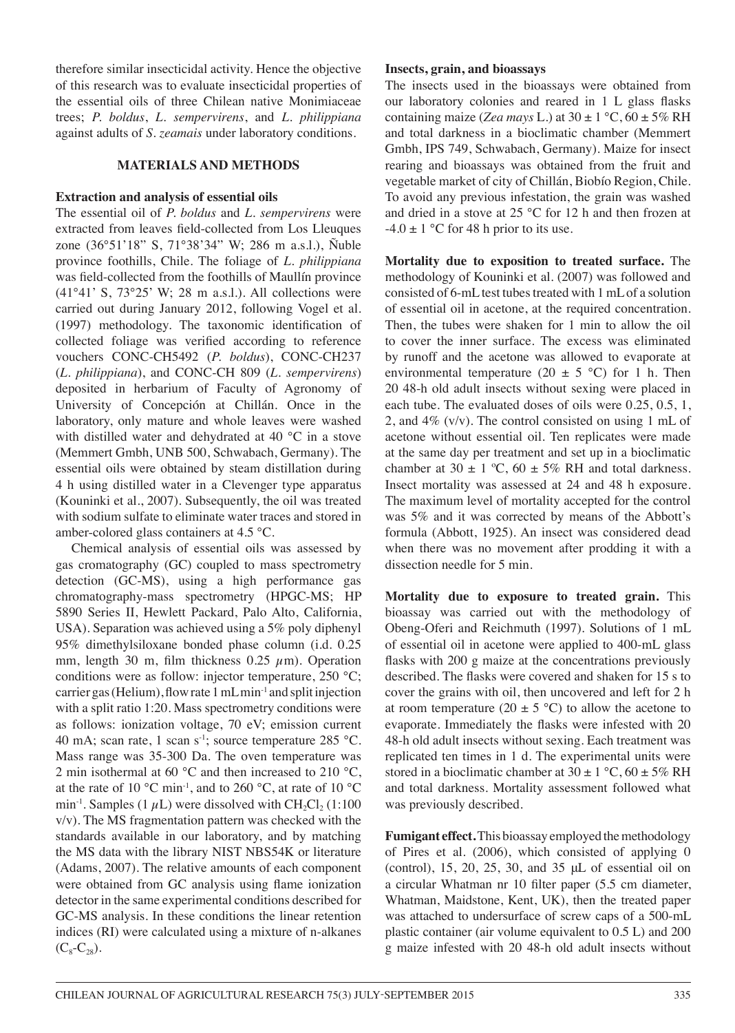therefore similar insecticidal activity. Hence the objective of this research was to evaluate insecticidal properties of the essential oils of three Chilean native Monimiaceae trees; *P. boldus*, *L. sempervirens*, and *L. philippiana* against adults of *S. zeamais* under laboratory conditions.

## **MATERIALS AND METHODS**

#### **Extraction and analysis of essential oils**

The essential oil of *P. boldus* and *L. sempervirens* were extracted from leaves field-collected from Los Lleuques zone (36°51'18" S, 71°38'34" W; 286 m a.s.l.), Ñuble province foothills, Chile. The foliage of *L. philippiana*  was field-collected from the foothills of Maullín province (41°41' S, 73°25' W; 28 m a.s.l.). All collections were carried out during January 2012, following Vogel et al. (1997) methodology. The taxonomic identification of collected foliage was verified according to reference vouchers CONC-CH5492 (*P. boldus*), CONC-CH237 (*L. philippiana*), and CONC-CH 809 (*L. sempervirens*) deposited in herbarium of Faculty of Agronomy of University of Concepción at Chillán. Once in the laboratory, only mature and whole leaves were washed with distilled water and dehydrated at 40 °C in a stove (Memmert Gmbh, UNB 500, Schwabach, Germany). The essential oils were obtained by steam distillation during 4 h using distilled water in a Clevenger type apparatus (Kouninki et al., 2007). Subsequently, the oil was treated with sodium sulfate to eliminate water traces and stored in amber-colored glass containers at 4.5 °C.

Chemical analysis of essential oils was assessed by gas cromatography (GC) coupled to mass spectrometry detection (GC-MS), using a high performance gas chromatography-mass spectrometry (HPGC-MS; HP 5890 Series II, Hewlett Packard, Palo Alto, California, USA). Separation was achieved using a 5% poly diphenyl 95% dimethylsiloxane bonded phase column (i.d. 0.25 mm, length 30 m, film thickness 0.25  $\mu$ m). Operation conditions were as follow: injector temperature, 250 °C; carrier gas (Helium), flow rate 1 mL min-1 and split injection with a split ratio 1:20. Mass spectrometry conditions were as follows: ionization voltage, 70 eV; emission current 40 mA; scan rate, 1 scan  $s^{-1}$ ; source temperature 285 °C. Mass range was 35-300 Da. The oven temperature was 2 min isothermal at 60 °C and then increased to 210 °C, at the rate of 10 °C min-1, and to 260 °C, at rate of 10 °C min<sup>-1</sup>. Samples (1  $\mu$ L) were dissolved with CH<sub>2</sub>Cl<sub>2</sub> (1:100) v/v). The MS fragmentation pattern was checked with the standards available in our laboratory, and by matching the MS data with the library NIST NBS54K or literature (Adams, 2007). The relative amounts of each component were obtained from GC analysis using flame ionization detector in the same experimental conditions described for GC-MS analysis. In these conditions the linear retention indices (RI) were calculated using a mixture of n-alkanes  $(C_8-C_{28})$ .

### **Insects, grain, and bioassays**

The insects used in the bioassays were obtained from our laboratory colonies and reared in 1 L glass flasks containing maize (*Zea mays L*.) at  $30 \pm 1$  °C,  $60 \pm 5\%$  RH and total darkness in a bioclimatic chamber (Memmert Gmbh, IPS 749, Schwabach, Germany). Maize for insect rearing and bioassays was obtained from the fruit and vegetable market of city of Chillán, Biobío Region, Chile. To avoid any previous infestation, the grain was washed and dried in a stove at 25 °C for 12 h and then frozen at  $-4.0 \pm 1$  °C for 48 h prior to its use.

**Mortality due to exposition to treated surface.** The methodology of Kouninki et al. (2007) was followed and consisted of 6-mL test tubes treated with 1 mL of a solution of essential oil in acetone, at the required concentration. Then, the tubes were shaken for 1 min to allow the oil to cover the inner surface. The excess was eliminated by runoff and the acetone was allowed to evaporate at environmental temperature (20  $\pm$  5 °C) for 1 h. Then 20 48-h old adult insects without sexing were placed in each tube. The evaluated doses of oils were 0.25, 0.5, 1, 2, and 4% (v/v). The control consisted on using 1 mL of acetone without essential oil. Ten replicates were made at the same day per treatment and set up in a bioclimatic chamber at  $30 \pm 1$  °C,  $60 \pm 5\%$  RH and total darkness. Insect mortality was assessed at 24 and 48 h exposure. The maximum level of mortality accepted for the control was 5% and it was corrected by means of the Abbott's formula (Abbott, 1925). An insect was considered dead when there was no movement after prodding it with a dissection needle for 5 min.

**Mortality due to exposure to treated grain.** This bioassay was carried out with the methodology of Obeng-Oferi and Reichmuth (1997). Solutions of 1 mL of essential oil in acetone were applied to 400-mL glass flasks with 200 g maize at the concentrations previously described. The flasks were covered and shaken for 15 s to cover the grains with oil, then uncovered and left for 2 h at room temperature (20  $\pm$  5 °C) to allow the acetone to evaporate. Immediately the flasks were infested with 20 48-h old adult insects without sexing. Each treatment was replicated ten times in 1 d. The experimental units were stored in a bioclimatic chamber at  $30 \pm 1$  °C,  $60 \pm 5\%$  RH and total darkness. Mortality assessment followed what was previously described.

**Fumigant effect.** This bioassay employed the methodology of Pires et al. (2006), which consisted of applying 0 (control), 15, 20, 25, 30, and 35 μL of essential oil on a circular Whatman nr 10 filter paper (5.5 cm diameter, Whatman, Maidstone, Kent, UK), then the treated paper was attached to undersurface of screw caps of a 500-mL plastic container (air volume equivalent to 0.5 L) and 200 g maize infested with 20 48-h old adult insects without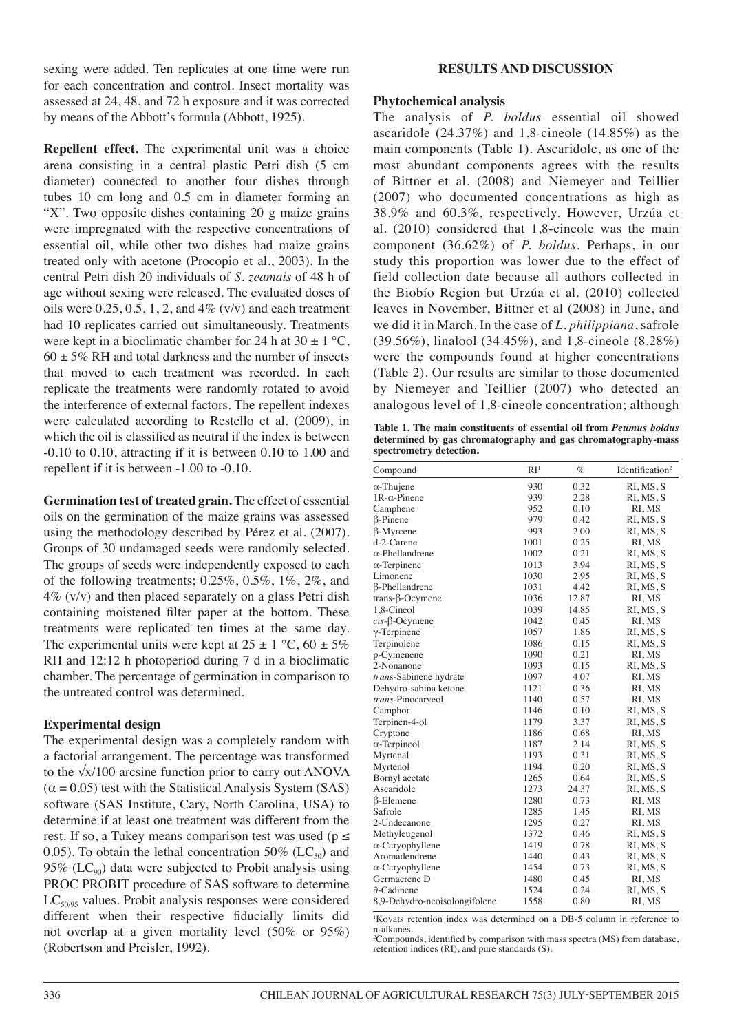sexing were added. Ten replicates at one time were run for each concentration and control. Insect mortality was assessed at 24, 48, and 72 h exposure and it was corrected by means of the Abbott's formula (Abbott, 1925).

**Repellent effect.** The experimental unit was a choice arena consisting in a central plastic Petri dish (5 cm diameter) connected to another four dishes through tubes 10 cm long and 0.5 cm in diameter forming an "X". Two opposite dishes containing 20 g maize grains were impregnated with the respective concentrations of essential oil, while other two dishes had maize grains treated only with acetone (Procopio et al., 2003). In the central Petri dish 20 individuals of *S. zeamais* of 48 h of age without sexing were released. The evaluated doses of oils were  $0.25, 0.5, 1, 2$ , and  $4\%$  (v/v) and each treatment had 10 replicates carried out simultaneously. Treatments were kept in a bioclimatic chamber for 24 h at  $30 \pm 1$  °C,  $60 \pm 5\%$  RH and total darkness and the number of insects that moved to each treatment was recorded. In each replicate the treatments were randomly rotated to avoid the interference of external factors. The repellent indexes were calculated according to Restello et al. (2009), in which the oil is classified as neutral if the index is between -0.10 to 0.10, attracting if it is between 0.10 to 1.00 and repellent if it is between -1.00 to -0.10.

**Germination test of treated grain.** The effect of essential oils on the germination of the maize grains was assessed using the methodology described by Pérez et al. (2007). Groups of 30 undamaged seeds were randomly selected. The groups of seeds were independently exposed to each of the following treatments; 0.25%, 0.5%, 1%, 2%, and  $4\%$  (v/v) and then placed separately on a glass Petri dish containing moistened filter paper at the bottom. These treatments were replicated ten times at the same day. The experimental units were kept at  $25 \pm 1$  °C,  $60 \pm 5\%$ RH and 12:12 h photoperiod during 7 d in a bioclimatic chamber. The percentage of germination in comparison to the untreated control was determined.

### **Experimental design**

The experimental design was a completely random with a factorial arrangement. The percentage was transformed to the √x/100 arcsine function prior to carry out ANOVA  $(\alpha = 0.05)$  test with the Statistical Analysis System (SAS) software (SAS Institute, Cary, North Carolina, USA) to determine if at least one treatment was different from the rest. If so, a Tukey means comparison test was used ( $p \le$ 0.05). To obtain the lethal concentration 50% ( $LC_{50}$ ) and 95% ( $LC_{90}$ ) data were subjected to Probit analysis using PROC PROBIT procedure of SAS software to determine  $LC_{50/95}$  values. Probit analysis responses were considered different when their respective fiducially limits did not overlap at a given mortality level (50% or 95%) (Robertson and Preisler, 1992).

### **RESULTS AND DISCUSSION**

#### **Phytochemical analysis**

The analysis of *P. boldus* essential oil showed ascaridole (24.37%) and 1,8-cineole (14.85%) as the main components (Table 1). Ascaridole, as one of the most abundant components agrees with the results of Bittner et al. (2008) and Niemeyer and Teillier (2007) who documented concentrations as high as 38.9% and 60.3%, respectively. However, Urzúa et al. (2010) considered that 1,8-cineole was the main component (36.62%) of *P. boldus*. Perhaps, in our study this proportion was lower due to the effect of field collection date because all authors collected in the Biobío Region but Urzúa et al. (2010) collected leaves in November, Bittner et al (2008) in June, and we did it in March. In the case of *L. philippiana*, safrole (39.56%), linalool (34.45%), and 1,8-cineole (8.28%) were the compounds found at higher concentrations (Table 2). Our results are similar to those documented by Niemeyer and Teillier (2007) who detected an analogous level of 1,8-cineole concentration; although

**Table 1. The main constituents of essential oil from** *Peumus boldus* **determined by gas chromatography and gas chromatography-mass spectrometry detection.**

| Compound                      | RI <sup>1</sup> | $\%$  | Identification <sup>2</sup> |
|-------------------------------|-----------------|-------|-----------------------------|
| $\alpha$ -Thujene             | 930             | 0.32  | RI, MS, S                   |
| $1R-\alpha$ -Pinene           | 939             | 2.28  | RI, MS, S                   |
| Camphene                      | 952             | 0.10  | RI, MS                      |
| $\beta$ -Pinene               | 979             | 0.42  | RI, MS, S                   |
| $\beta$ -Myrcene              | 993             | 2.00  | RI, MS, S                   |
| d-2-Carene                    | 1001            | 0.25  | RI, MS                      |
| $\alpha$ -Phellandrene        | 1002            | 0.21  | RI, MS, S                   |
| $\alpha$ -Terpinene           | 1013            | 3.94  | RI, MS, S                   |
| Limonene                      | 1030            | 2.95  | RI, MS, S                   |
| <b>ß-Phellandrene</b>         | 1031            | 4.42  | RI, MS, S                   |
| $trans-\beta-Ocymene$         | 1036            | 12.87 | RI, MS                      |
| 1,8-Cineol                    | 1039            | 14.85 | RI, MS, S                   |
| $cis$ - $\beta$ -Ocymene      | 1042            | 0.45  | RI, MS                      |
| $\gamma$ -Terpinene           | 1057            | 1.86  | RI, MS, S                   |
| Terpinolene                   | 1086            | 0.15  | RI, MS, S                   |
| p-Cymenene                    | 1090            | 0.21  | RI, MS                      |
| 2-Nonanone                    | 1093            | 0.15  | RI, MS, S                   |
| trans-Sabinene hydrate        | 1097            | 4.07  | RI, MS                      |
| Dehydro-sabina ketone         | 1121            | 0.36  | RI, MS                      |
| trans-Pinocarveol             | 1140            | 0.57  | RI, MS                      |
| Camphor                       | 1146            | 0.10  | RI, MS, S                   |
| Terpinen-4-ol                 | 1179            | 3.37  | RI, MS, S                   |
| Cryptone                      | 1186            | 0.68  | RI, MS                      |
| $\alpha$ -Terpineol           | 1187            | 2.14  | RI, MS, S                   |
| Myrtenal                      | 1193            | 0.31  | RI, MS, S                   |
| Myrtenol                      | 1194            | 0.20  | RI, MS, S                   |
| Bornyl acetate                | 1265            | 0.64  | RI, MS, S                   |
| Ascaridole                    | 1273            | 24.37 | RI, MS, S                   |
| $\beta$ -Elemene              | 1280            | 0.73  | RI, MS                      |
| Safrole                       | 1285            | 1.45  | RI, MS                      |
| 2-Undecanone                  | 1295            | 0.27  | RI, MS                      |
| Methyleugenol                 | 1372            | 0.46  | RI, MS, S                   |
| $\alpha$ -Caryophyllene       | 1419            | 0.78  | RI, MS, S                   |
| Aromadendrene                 | 1440            | 0.43  | RI, MS, S                   |
| $\alpha$ -Caryophyllene       | 1454            | 0.73  | RI, MS, S                   |
| Germacrene D                  | 1480            | 0.45  | RI, MS                      |
| $\partial$ -Cadinene          | 1524            | 0.24  | RI, MS, S                   |
| 8,9-Dehydro-neoisolongifolene | 1558            | 0.80  | RI, MS                      |

1 Kovats retention index was determined on a DB-5 column in reference to n-alkanes.

2 Compounds, identified by comparison with mass spectra (MS) from database, retention indices (RI), and pure standards (S).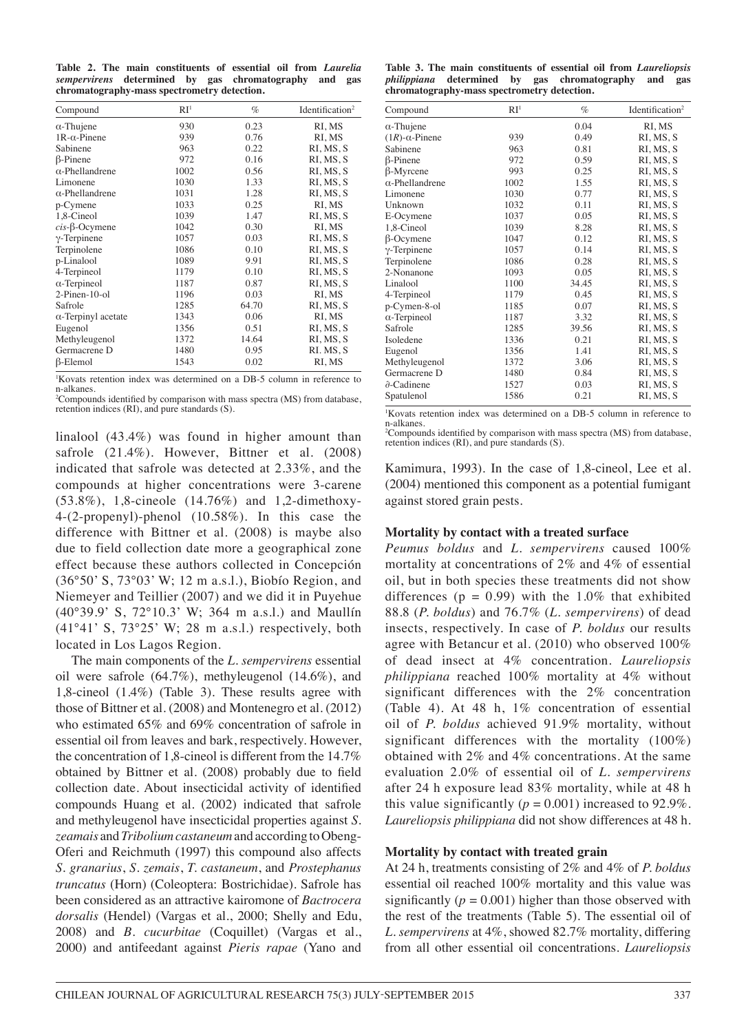**Table 2. The main constituents of essential oil from** *Laurelia sempervirens* **determined by gas chromatography and gas chromatography-mass spectrometry detection.**

| Compound                   | RI <sup>1</sup> | $\%$  | Identification <sup>2</sup> |
|----------------------------|-----------------|-------|-----------------------------|
| $\alpha$ -Thujene          | 930             | 0.23  | RI, MS                      |
| $1R-\alpha$ -Pinene        | 939             | 0.76  | RI, MS                      |
| Sabinene                   | 963             | 0.22  | RI, MS, S                   |
| $\beta$ -Pinene            | 972             | 0.16  | RI, MS, S                   |
| $\alpha$ -Phellandrene     | 1002            | 0.56  | RI, MS, S                   |
| Limonene                   | 1030            | 1.33  | RI, MS, S                   |
| $\alpha$ -Phellandrene     | 1031            | 1.28  | RI, MS, S                   |
| p-Cymene                   | 1033            | 0.25  | RI, MS                      |
| 1,8-Cineol                 | 1039            | 1.47  | RI, MS, S                   |
| $cis$ - $\beta$ -Ocymene   | 1042            | 0.30  | RI, MS                      |
| $\gamma$ -Terpinene        | 1057            | 0.03  | RI, MS, S                   |
| Terpinolene                | 1086            | 0.10  | RI, MS, S                   |
| p-Linalool                 | 1089            | 9.91  | RI, MS, S                   |
| 4-Terpineol                | 1179            | 0.10  | RI, MS, S                   |
| $\alpha$ -Terpineol        | 1187            | 0.87  | RI, MS, S                   |
| $2-Pinen-10-ol$            | 1196            | 0.03  | RI, MS                      |
| Safrole                    | 1285            | 64.70 | RI, MS, S                   |
| $\alpha$ -Terpinyl acetate | 1343            | 0.06  | RI, MS                      |
| Eugenol                    | 1356            | 0.51  | RI, MS, S                   |
| Methyleugenol              | 1372            | 14.64 | RI, MS, S                   |
| Germacrene D               | 1480            | 0.95  | RI. MS, S                   |
| $\beta$ -Elemol            | 1543            | 0.02  | RI, MS                      |

1 Kovats retention index was determined on a DB-5 column in reference to n-alkanes.

<sup>2</sup>Compounds identified by comparison with mass spectra (MS) from database, retention indices (RI), and pure standards (S).

linalool (43.4%) was found in higher amount than safrole (21.4%). However, Bittner et al. (2008) indicated that safrole was detected at 2.33%, and the compounds at higher concentrations were 3-carene (53.8%), 1,8-cineole (14.76%) and 1,2-dimethoxy-4-(2-propenyl)-phenol (10.58%). In this case the difference with Bittner et al. (2008) is maybe also due to field collection date more a geographical zone effect because these authors collected in Concepción (36°50' S, 73°03' W; 12 m a.s.l.), Biobío Region, and Niemeyer and Teillier (2007) and we did it in Puyehue (40°39.9' S, 72°10.3' W; 364 m a.s.l.) and Maullín  $(41°41' S, 73°25' W; 28 m a.s.l.)$  respectively, both located in Los Lagos Region.

The main components of the *L. sempervirens* essential oil were safrole (64.7%), methyleugenol (14.6%), and 1,8-cineol (1.4%) (Table 3). These results agree with those of Bittner et al. (2008) and Montenegro et al. (2012) who estimated 65% and 69% concentration of safrole in essential oil from leaves and bark, respectively. However, the concentration of 1,8-cineol is different from the 14.7% obtained by Bittner et al. (2008) probably due to field collection date. About insecticidal activity of identified compounds Huang et al. (2002) indicated that safrole and methyleugenol have insecticidal properties against *S. zeamais* and *Tribolium castaneum* and according to Obeng-Oferi and Reichmuth (1997) this compound also affects *S. granarius*, *S. zemais*, *T. castaneum*, and *Prostephanus truncatus* (Horn) (Coleoptera: Bostrichidae). Safrole has been considered as an attractive kairomone of *Bactrocera dorsalis* (Hendel) (Vargas et al., 2000; Shelly and Edu, 2008) and *B. cucurbitae* (Coquillet) (Vargas et al., 2000) and antifeedant against *Pieris rapae* (Yano and

**Table 3. The main constituents of essential oil from** *Laureliopsis philippiana* **determined by gas chromatography and gas chromatography-mass spectrometry detection.**

| Compound                  | RI <sup>1</sup> | $\%$  | Identification <sup>2</sup> |
|---------------------------|-----------------|-------|-----------------------------|
| $\alpha$ -Thujene         |                 | 0.04  | RI, MS                      |
| $(1R)$ - $\alpha$ -Pinene | 939             | 0.49  | RI, MS, S                   |
| Sabinene                  | 963             | 0.81  | RI, MS, S                   |
| $\beta$ -Pinene           | 972             | 0.59  | RI, MS, S                   |
| $\beta$ -Myrcene          | 993             | 0.25  | RI.MS.S                     |
| $\alpha$ -Phellandrene    | 1002            | 1.55  | RI, MS, S                   |
| Limonene                  | 1030            | 0.77  | RI, MS, S                   |
| Unknown                   | 1032            | 0.11  | RI, MS, S                   |
| E-Ocymene                 | 1037            | 0.05  | RI, MS, S                   |
| 1,8-Cineol                | 1039            | 8.28  | RI, MS, S                   |
| $\beta$ -Ocymene          | 1047            | 0.12  | RI, MS, S                   |
| $\gamma$ -Terpinene       | 1057            | 0.14  | RI, MS, S                   |
| Terpinolene               | 1086            | 0.28  | RI, MS, S                   |
| 2-Nonanone                | 1093            | 0.05  | RI, MS, S                   |
| Linalool                  | 1100            | 34.45 | RI, MS, S                   |
| 4-Terpineol               | 1179            | 0.45  | RI, MS, S                   |
| p-Cymen-8-ol              | 1185            | 0.07  | RI, MS, S                   |
| $\alpha$ -Terpineol       | 1187            | 3.32  | RI, MS, S                   |
| Safrole                   | 1285            | 39.56 | RI, MS, S                   |
| Isoledene                 | 1336            | 0.21  | RI, MS, S                   |
| Eugenol                   | 1356            | 1.41  | RI, MS, S                   |
| Methyleugenol             | 1372            | 3.06  | RI, MS, S                   |
| Germacrene D              | 1480            | 0.84  | RI, MS, S                   |
| $\partial$ -Cadinene      | 1527            | 0.03  | RI, MS, S                   |
| Spatulenol                | 1586            | 0.21  | RI, MS, S                   |

1 Kovats retention index was determined on a DB-5 column in reference to n-alkanes.

2 Compounds identified by comparison with mass spectra (MS) from database, retention indices (RI), and pure standards (S).

Kamimura, 1993). In the case of 1,8-cineol, Lee et al. (2004) mentioned this component as a potential fumigant against stored grain pests.

### **Mortality by contact with a treated surface**

*Peumus boldus* and *L. sempervirens* caused 100% mortality at concentrations of 2% and 4% of essential oil, but in both species these treatments did not show differences ( $p = 0.99$ ) with the 1.0% that exhibited 88.8 (*P. boldus*) and 76.7% (*L. sempervirens*) of dead insects, respectively. In case of *P. boldus* our results agree with Betancur et al. (2010) who observed 100% of dead insect at 4% concentration. *Laureliopsis philippiana* reached 100% mortality at 4% without significant differences with the 2% concentration (Table 4). At 48 h, 1% concentration of essential oil of *P. boldus* achieved 91.9% mortality, without significant differences with the mortality (100%) obtained with 2% and 4% concentrations. At the same evaluation 2.0% of essential oil of *L. sempervirens* after 24 h exposure lead 83% mortality, while at 48 h this value significantly ( $p = 0.001$ ) increased to 92.9%. *Laureliopsis philippiana* did not show differences at 48 h.

### **Mortality by contact with treated grain**

At 24 h, treatments consisting of 2% and 4% of *P. boldus* essential oil reached 100% mortality and this value was significantly  $(p = 0.001)$  higher than those observed with the rest of the treatments (Table 5). The essential oil of *L. sempervirens* at 4%, showed 82.7% mortality, differing from all other essential oil concentrations. *Laureliopsis*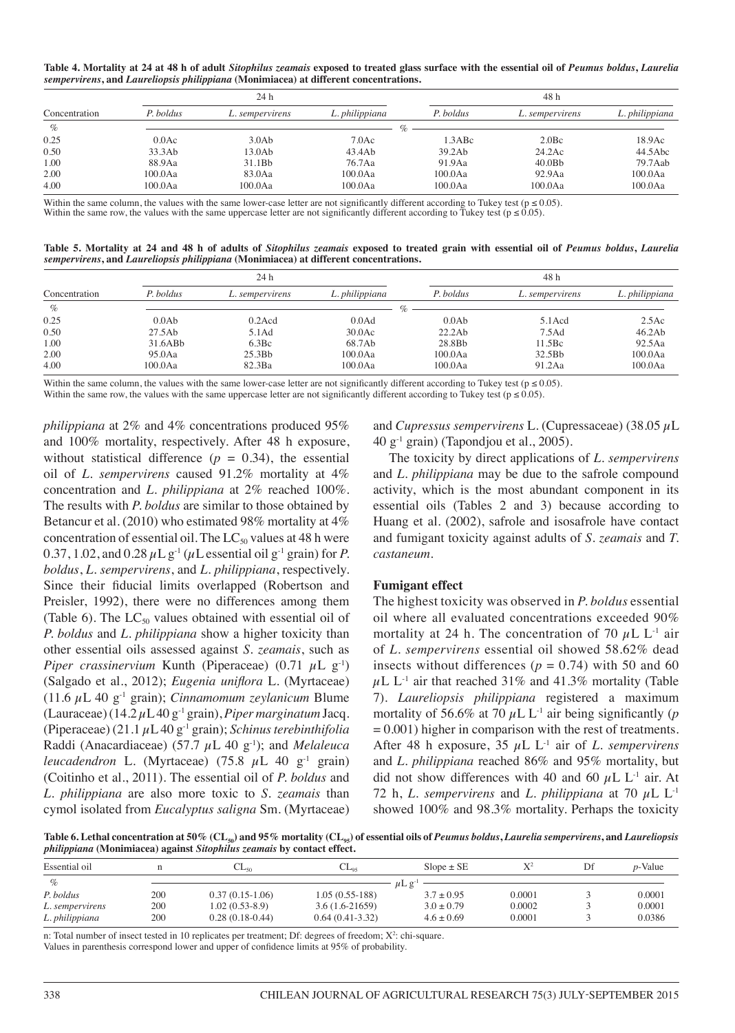**Table 4. Mortality at 24 at 48 h of adult** *Sitophilus zeamais* **exposed to treated glass surface with the essential oil of** *Peumus boldus***,** *Laurelia sempervirens***, and** *Laureliopsis philippiana* **(Monimiacea) at different concentrations.** 

|               |           | 24 h            |                |            | 48 h               |                |
|---------------|-----------|-----------------|----------------|------------|--------------------|----------------|
| Concentration | P. boldus | L. sempervirens | L. philippiana | P. boldus  | L. sempervirens    | L. philippiana |
| $\%$          |           |                 | $\%$           |            |                    |                |
| 0.25          | 0.0Ac     | 3.0Ab           | $7.0$ Ac       | 1.3ABc     | 2.0 <sub>Bc</sub>  | 18.9Ac         |
| 0.50          | 33.3Ab    | 13.0Ab          | 43.4Ab         | 39.2Ab     | 24.2Ac             | 44.5Abc        |
| 1.00          | 88.9Aa    | 31.1Bb          | 76.7Aa         | 91.9Aa     | 40.0B <sub>b</sub> | 79.7Aab        |
| 2.00          | 100.0Aa   | 83.0Aa          | $100.0$ Aa     | $100.0$ Aa | 92.9Aa             | $100.0$ Aa     |
| 4.00          | 100.0Aa   | $100.0$ Aa      | $100.0$ Aa     | 100.0Aa    | $100.0$ Aa         | $100.0$ Aa     |

Within the same column, the values with the same lower-case letter are not significantly different according to Tukey test ( $p \le 0.05$ ). Within the same row, the values with the same uppercase letter are not significantly different according to Tukey test ( $p \le 0.05$ ).

**Table 5. Mortality at 24 and 48 h of adults of** *Sitophilus zeamais* **exposed to treated grain with essential oil of** *Peumus boldus***,** *Laurelia sempervirens***, and** *Laureliopsis philippiana* **(Monimiacea) at different concentrations.** 

|               |            | 24 h            |                   |            | 48 h            |                |
|---------------|------------|-----------------|-------------------|------------|-----------------|----------------|
| Concentration | P. boldus  | L. sempervirens | L. philippiana    | P. boldus  | L. sempervirens | L. philippiana |
| $\%$          |            |                 |                   |            |                 |                |
| 0.25          | 0.0Ab      | $0.2$ Acd       | 0.0 <sub>Ad</sub> | 0.0Ab      | $5.1$ Acd       | 2.5Ac          |
| 0.50          | 27.5Ab     | 5.1Ad           | 30.0Ac            | 22.2Ab     | 7.5Ad           | 46.2Ab         |
| 1.00          | 31.6ABb    | 6.3Bc           | 68.7Ab            | 28.8Bb     | 11.5Bc          | 92.5Aa         |
| 2.00          | 95.0Aa     | 25.3Bb          | $100.0$ Aa        | $100.0$ Aa | 32.5Bb          | $100.0$ Aa     |
| 4.00          | $100.0$ Aa | 82.3Ba          | $100.0$ Aa        | $100.0$ Aa | 91.2Aa          | $100.0$ Aa     |

Within the same column, the values with the same lower-case letter are not significantly different according to Tukey test ( $p \le 0.05$ ).

Within the same row, the values with the same uppercase letter are not significantly different according to Tukey test ( $p \le 0.05$ ).

*philippiana* at 2% and 4% concentrations produced 95% and 100% mortality, respectively. After 48 h exposure, without statistical difference  $(p = 0.34)$ , the essential oil of *L. sempervirens* caused 91.2% mortality at 4% concentration and *L. philippiana* at 2% reached 100%. The results with *P. boldus* are similar to those obtained by Betancur et al. (2010) who estimated 98% mortality at 4% concentration of essential oil. The  $LC_{50}$  values at 48 h were 0.37, 1.02, and 0.28  $\mu$ L g<sup>-1</sup> ( $\mu$ L essential oil g<sup>-1</sup> grain) for *P*. *boldus*, *L. sempervirens*, and *L. philippiana*, respectively. Since their fiducial limits overlapped (Robertson and Preisler, 1992), there were no differences among them (Table 6). The  $LC_{50}$  values obtained with essential oil of *P. boldus* and *L. philippiana* show a higher toxicity than other essential oils assessed against *S. zeamais*, such as *Piper crassinervium* Kunth (Piperaceae)  $(0.71 \mu L g^{-1})$ (Salgado et al., 2012); *Eugenia uniflora* L. (Myrtaceae) (11.6 µL 40 g-1 grain); *Cinnamomum zeylanicum* Blume (Lauraceae) (14.2 µL 40 g-1 grain), *Piper marginatum* Jacq. (Piperaceae) (21.1 µL 40 g-1 grain); *Schinus terebinthifolia* Raddi (Anacardiaceae) (57.7 µL 40 g-1); and *Melaleuca leucadendron* L. (Myrtaceae) (75.8  $\mu$ L 40 g<sup>-1</sup> grain) (Coitinho et al., 2011). The essential oil of *P. boldus* and *L. philippiana* are also more toxic to *S. zeamais* than cymol isolated from *Eucalyptus saligna* Sm. (Myrtaceae)

and *Cupressus sempervirens* L. (Cupressaceae) (38.05 µL  $40 \text{ g}^{-1}$  grain) (Tapondjou et al., 2005).

The toxicity by direct applications of *L. sempervirens* and *L. philippiana* may be due to the safrole compound activity, which is the most abundant component in its essential oils (Tables 2 and 3) because according to Huang et al. (2002), safrole and isosafrole have contact and fumigant toxicity against adults of *S. zeamais* and *T. castaneum*.

### **Fumigant effect**

The highest toxicity was observed in *P. boldus* essential oil where all evaluated concentrations exceeded 90% mortality at 24 h. The concentration of 70  $\mu$ L L<sup>-1</sup> air of *L. sempervirens* essential oil showed 58.62% dead insects without differences ( $p = 0.74$ ) with 50 and 60  $\mu$ L L<sup>-1</sup> air that reached 31% and 41.3% mortality (Table 7). *Laureliopsis philippiana* registered a maximum mortality of 56.6% at 70  $\mu$ L L<sup>-1</sup> air being significantly (*p*  $= 0.001$ ) higher in comparison with the rest of treatments. After 48 h exposure, 35 µL L-1 air of *L. sempervirens* and *L. philippiana* reached 86% and 95% mortality, but did not show differences with 40 and 60  $\mu$ L L<sup>-1</sup> air. At 72 h, *L. sempervirens* and *L. philippiana* at 70  $\mu$ L L<sup>-1</sup> showed 100% and 98.3% mortality. Perhaps the toxicity

Table 6. Lethal concentration at 50% (CL<sub>50</sub>) and 95% mortality (CL<sub>95</sub>) of essential oils of *Peumus boldus*, *Laurelia sempervirens*, and *Laureliopsis philippiana* **(Monimiacea) against** *Sitophilus zeamais* **by contact effect.** 

| .               | $\sim$ |                   |                                       |                         |        |    |            |
|-----------------|--------|-------------------|---------------------------------------|-------------------------|--------|----|------------|
| Essential oil   |        | صاب ب             | $\mathbb{C} \mathbb{L}_{\mathrm{as}}$ | $Slope \pm SE$          |        | Df | $p$ -Value |
| $\%$            |        |                   |                                       | $\mu$ L g <sup>-1</sup> |        |    |            |
| P. boldus       | 200    | $0.37(0.15-1.06)$ | $1.05(0.55-188)$                      | $3.7 \pm 0.95$          | 0.0001 |    | 0.0001     |
| L. sempervirens | 200    | $1.02(0.53-8.9)$  | $3.6(1.6-21659)$                      | $3.0 + 0.79$            | 0.0002 |    | 0.0001     |
| L. philippiana  | 200    | $0.28(0.18-0.44)$ | $0.64(0.41-3.32)$                     | $4.6 + 0.69$            | 0.0001 |    | 0.0386     |

n: Total number of insect tested in 10 replicates per treatment; Df: degrees of freedom; X<sup>2</sup>: chi-square.

Values in parenthesis correspond lower and upper of confidence limits at 95% of probability.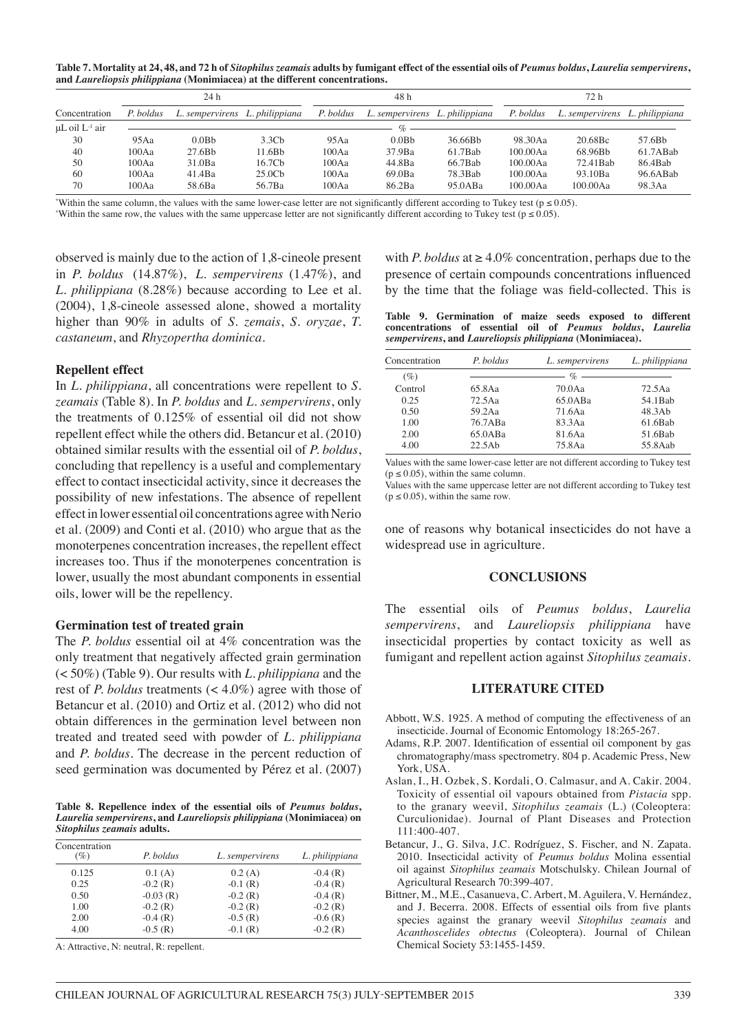**Table 7. Mortality at 24, 48, and 72 h of** *Sitophilus zeamais* **adults by fumigant effect of the essential oils of** *Peumus boldus***,** *Laurelia sempervirens***, and** *Laureliopsis philippiana* **(Monimiacea) at the different concentrations.** 

|                          |           | 24 h                           |                    |           | 48 h                           |            |           | 72 h                           |          |
|--------------------------|-----------|--------------------------------|--------------------|-----------|--------------------------------|------------|-----------|--------------------------------|----------|
| Concentration            | P. boldus | L. sempervirens L. philippiana |                    | P. boldus | L. sempervirens L. philippiana |            | P. boldus | L. sempervirens L. philippiana |          |
| $\mu$ L oil $L^{-1}$ air |           |                                |                    |           |                                |            |           |                                |          |
| 30                       | 95Aa      | 0.0B <sub>b</sub>              | 3.3 <sub>Ch</sub>  | 95Aa      | 0.0B <sub>b</sub>              | 36.66Bb    | 98.30Aa   | 20.68Bc                        | 57.6Bb   |
| 40                       | 100Aa     | 27.6Bb                         | 11.6B <sub>b</sub> | 100Aa     | 37.9Ba                         | $61.7$ Bab | 100.00Aa  | 68.96Bb                        | 61.7ABab |
| 50                       | 100Aa     | 31.0Ba                         | 16.7Cb             | 100Aa     | 44.8Ba                         | 66.7Bab    | 100.00Aa  | 72.41Bab                       | 86.4Bab  |
| 60                       | 100Aa     | 41.4Ba                         | 25.0C <sub>b</sub> | 100Aa     | 69.0Ba                         | 78.3Bab    | 100.00Aa  | 93.10Ba                        | 96.6ABab |
| 70                       | 100Aa     | 58.6Ba                         | 56.7Ba             | 100Aa     | 86.2Ba                         | 95.0ABa    | 100.00Aa  | 100.00Aa                       | 98.3Aa   |

Within the same column, the values with the same lower-case letter are not significantly different according to Tukey test ( $p \le 0.05$ ).

Within the same row, the values with the same uppercase letter are not significantly different according to Tukey test ( $p \le 0.05$ ).

observed is mainly due to the action of 1,8-cineole present in *P. boldus* (14.87%), *L. sempervirens* (1.47%), and *L. philippiana* (8.28%) because according to Lee et al. (2004), 1,8-cineole assessed alone, showed a mortality higher than 90% in adults of *S. zemais*, *S. oryzae*, *T. castaneum*, and *Rhyzopertha dominica*.

#### **Repellent effect**

In *L. philippiana*, all concentrations were repellent to *S. zeamais* (Table 8). In *P. boldus* and *L. sempervirens*, only the treatments of 0.125% of essential oil did not show repellent effect while the others did. Betancur et al. (2010) obtained similar results with the essential oil of *P. boldus*, concluding that repellency is a useful and complementary effect to contact insecticidal activity, since it decreases the possibility of new infestations. The absence of repellent effect in lower essential oil concentrations agree with Nerio et al. (2009) and Conti et al. (2010) who argue that as the monoterpenes concentration increases, the repellent effect increases too. Thus if the monoterpenes concentration is lower, usually the most abundant components in essential oils, lower will be the repellency.

#### **Germination test of treated grain**

The *P. boldus* essential oil at 4% concentration was the only treatment that negatively affected grain germination (< 50%) (Table 9). Our results with *L. philippiana* and the rest of *P. boldus* treatments (< 4.0%) agree with those of Betancur et al. (2010) and Ortiz et al. (2012) who did not obtain differences in the germination level between non treated and treated seed with powder of *L. philippiana* and *P. boldus*. The decrease in the percent reduction of seed germination was documented by Pérez et al. (2007)

**Table 8. Repellence index of the essential oils of** *Peumus boldus***,**  *Laurelia sempervirens***, and** *Laureliopsis philippiana* **(Monimiacea) on**  *Sitophilus zeamais* **adults.** 

| Concentration<br>(%) | P. boldus  | L. sempervirens | L. philippiana |
|----------------------|------------|-----------------|----------------|
| 0.125                | 0.1(A)     | 0.2(A)          | $-0.4(R)$      |
| 0.25                 | $-0.2$ (R) | $-0.1$ (R)      | $-0.4(R)$      |
| 0.50                 | $-0.03(R)$ | $-0.2(R)$       | $-0.4$ (R)     |
| 1.00                 | $-0.2$ (R) | $-0.2$ (R)      | $-0.2$ (R)     |
| 2.00                 | $-0.4$ (R) | $-0.5(R)$       | $-0.6(R)$      |
| 4.00                 | $-0.5(R)$  | $-0.1(R)$       | $-0.2$ (R)     |

A: Attractive, N: neutral, R: repellent.

with *P. boldus* at  $\geq 4.0\%$  concentration, perhaps due to the presence of certain compounds concentrations influenced by the time that the foliage was field-collected. This is

**Table 9. Germination of maize seeds exposed to different concentrations of essential oil of** *Peumus boldus***,** *Laurelia sempervirens***, and** *Laureliopsis philippiana* **(Monimiacea).** 

| Concentration | P. boldus | L. sempervirens | L. philippiana |
|---------------|-----------|-----------------|----------------|
| $(\%)$        |           | $\%$ —          |                |
| Control       | 65.8Aa    | $70.0$ Aa       | 72.5Aa         |
| 0.25          | 72.5Aa    | 65.0ABa         | 54.1Bab        |
| 0.50          | 592Aa     | 71.6Aa          | 48.3Ab         |
| 1.00          | 76.7ABa   | 83.3Aa          | 61.6Bab        |
| 2.00          | 65.0ABa   | 81.6Aa          | 51.6Bab        |
| 4.00          | 22.5Ab    | 75.8Aa          | 55.8Aab        |

Values with the same lower-case letter are not different according to Tukey test  $(p \le 0.05)$ , within the same column.

Values with the same uppercase letter are not different according to Tukey test  $(p \le 0.05)$ , within the same row.

one of reasons why botanical insecticides do not have a widespread use in agriculture.

#### **CONCLUSIONS**

The essential oils of *Peumus boldus*, *Laurelia sempervirens*, and *Laureliopsis philippiana* have insecticidal properties by contact toxicity as well as fumigant and repellent action against *Sitophilus zeamais*.

#### **LITERATURE CITED**

- Abbott, W.S. 1925. A method of computing the effectiveness of an insecticide. Journal of Economic Entomology 18:265-267.
- Adams, R.P. 2007. Identification of essential oil component by gas chromatography/mass spectrometry. 804 p. Academic Press, New York, USA.
- Aslan, I., H. Ozbek, S. Kordali, O. Calmasur, and A. Cakir. 2004. Toxicity of essential oil vapours obtained from *Pistacia* spp. to the granary weevil, *Sitophilus zeamais* (L.) (Coleoptera: Curculionidae). Journal of Plant Diseases and Protection 111:400-407.
- Betancur, J., G. Silva, J.C. Rodríguez, S. Fischer, and N. Zapata. 2010. Insecticidal activity of *Peumus boldus* Molina essential oil against *Sitophilus zeamais* Motschulsky. Chilean Journal of Agricultural Research 70:399-407.
- Bittner, M., M.E., Casanueva, C. Arbert, M. Aguilera, V. Hernández, and J. Becerra. 2008. Effects of essential oils from five plants species against the granary weevil *Sitophilus zeamais* and *Acanthoscelides obtectus* (Coleoptera). Journal of Chilean Chemical Society 53:1455-1459.